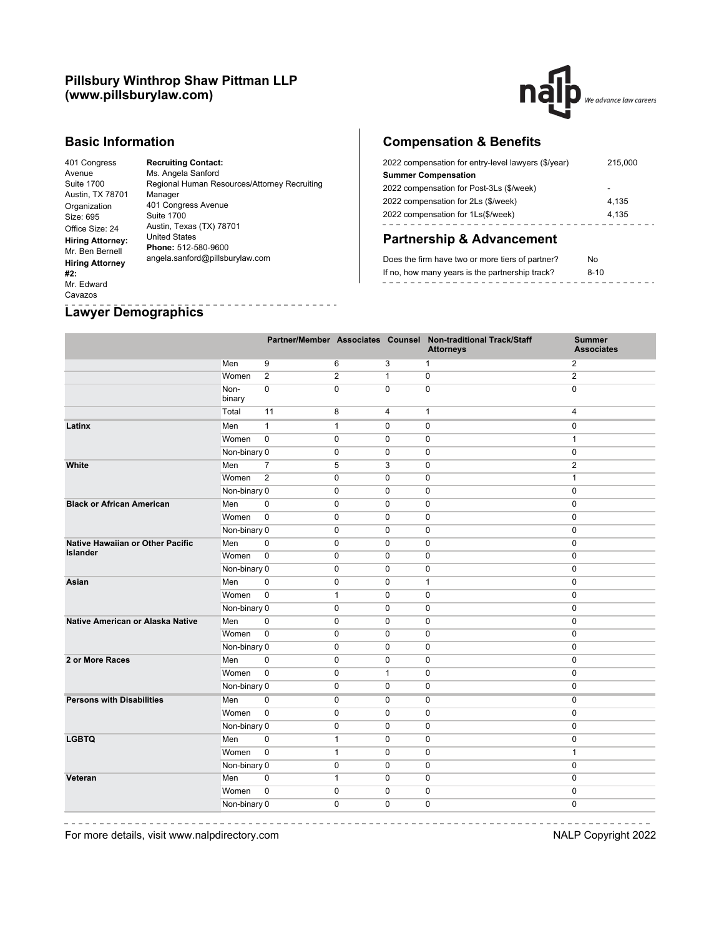## **Pillsbury Winthrop Shaw Pittman LLP (www.pillsburylaw.com)**



#### **Basic Information**

Avenue Suite 1700

Size: 695

**#2:** Mr. Edward Cavazos

401 Congress Austin, TX 78701 Organization Office Size: 24 **Hiring Attorney:** United States Mr. Ben Bernell **Hiring Attorney Recruiting Contact:** Ms. Angela Sanford Regional Human Resources/Attorney Recruiting Manager 401 Congress Avenue Suite 1700 Austin, Texas (TX) 78701 **Phone:** 512-580-9600 angela.sanford@pillsburylaw.com

---------

# **Compensation & Benefits**

| 2022 compensation for entry-level lawyers (\$/year) | 215,000 |
|-----------------------------------------------------|---------|
| <b>Summer Compensation</b>                          |         |
| 2022 compensation for Post-3Ls (\$/week)            |         |
| 2022 compensation for 2Ls (\$/week)                 | 4.135   |
| 2022 compensation for 1Ls(\$/week)                  | 4.135   |
|                                                     |         |

## **Partnership & Advancement**

| Does the firm have two or more tiers of partner? | N٥   |  |
|--------------------------------------------------|------|--|
| If no, how many years is the partnership track?  | 8-10 |  |
|                                                  |      |  |

#### **Lawyer Demographics**

|                                         |                |                |                |                | Partner/Member Associates Counsel Non-traditional Track/Staff<br><b>Attorneys</b> | <b>Summer</b><br><b>Associates</b> |
|-----------------------------------------|----------------|----------------|----------------|----------------|-----------------------------------------------------------------------------------|------------------------------------|
|                                         | Men            | 9              | 6              | $\overline{3}$ | $\mathbf{1}$                                                                      | $\overline{2}$                     |
|                                         | Women          | $\overline{2}$ | $\overline{2}$ | $\mathbf{1}$   | 0                                                                                 | $\overline{2}$                     |
|                                         | Non-<br>binary | $\mathbf 0$    | $\mathbf 0$    | $\mathbf 0$    | 0                                                                                 | $\mathbf 0$                        |
|                                         | Total          | 11             | 8              | $\overline{4}$ | $\mathbf{1}$                                                                      | $\overline{4}$                     |
| Latinx                                  | Men            | $\mathbf{1}$   | $\mathbf{1}$   | $\mathbf 0$    | 0                                                                                 | $\mathbf 0$                        |
|                                         | Women          | $\pmb{0}$      | $\pmb{0}$      | $\mathbf 0$    | 0                                                                                 | $\mathbf{1}$                       |
|                                         | Non-binary 0   |                | $\mathbf 0$    | $\mathbf 0$    | 0                                                                                 | $\mathbf 0$                        |
| White                                   | Men            | $\overline{7}$ | 5              | 3              | 0                                                                                 | $\overline{2}$                     |
|                                         | Women          | $\overline{2}$ | $\mathbf 0$    | $\mathbf 0$    | 0                                                                                 | $\mathbf{1}$                       |
|                                         | Non-binary 0   |                | $\mathbf 0$    | $\mathbf 0$    | $\mathbf 0$                                                                       | $\mathbf 0$                        |
| <b>Black or African American</b>        | Men            | $\mathbf 0$    | $\mathbf 0$    | $\mathbf 0$    | $\mathbf 0$                                                                       | $\mathbf 0$                        |
|                                         | Women          | $\mathbf 0$    | $\mathbf 0$    | $\mathbf 0$    | $\mathbf 0$                                                                       | $\mathbf 0$                        |
|                                         | Non-binary 0   |                | $\mathbf 0$    | $\mathbf 0$    | $\mathbf 0$                                                                       | $\mathbf 0$                        |
| <b>Native Hawaiian or Other Pacific</b> | Men            | $\mathbf 0$    | $\mathbf 0$    | $\mathbf 0$    | $\mathbf 0$                                                                       | $\mathbf 0$                        |
| <b>Islander</b>                         | Women          | $\mathbf 0$    | $\mathbf 0$    | $\mathbf 0$    | $\mathbf 0$                                                                       | $\mathbf 0$                        |
|                                         | Non-binary 0   |                | $\mathbf 0$    | $\mathbf 0$    | 0                                                                                 | $\mathbf 0$                        |
| Asian                                   | Men            | 0              | $\mathbf 0$    | $\mathbf 0$    | 1                                                                                 | $\mathbf 0$                        |
|                                         | Women          | $\pmb{0}$      | $\mathbf{1}$   | $\mathbf 0$    | 0                                                                                 | $\mathbf 0$                        |
|                                         | Non-binary 0   |                | $\pmb{0}$      | $\pmb{0}$      | 0                                                                                 | $\pmb{0}$                          |
| Native American or Alaska Native        | Men            | $\pmb{0}$      | $\pmb{0}$      | $\pmb{0}$      | 0                                                                                 | $\pmb{0}$                          |
|                                         | Women          | $\pmb{0}$      | $\pmb{0}$      | $\pmb{0}$      | 0                                                                                 | $\pmb{0}$                          |
|                                         | Non-binary 0   |                | $\mathbf 0$    | $\pmb{0}$      | 0                                                                                 | $\pmb{0}$                          |
| 2 or More Races                         | Men            | $\pmb{0}$      | $\mathbf 0$    | $\mathbf 0$    | 0                                                                                 | $\pmb{0}$                          |
|                                         | Women          | $\overline{0}$ | $\pmb{0}$      | $\mathbf{1}$   | $\pmb{0}$                                                                         | $\pmb{0}$                          |
|                                         | Non-binary 0   |                | $\mathbf 0$    | $\pmb{0}$      | $\mathsf 0$                                                                       | $\pmb{0}$                          |
| <b>Persons with Disabilities</b>        | Men            | $\mathbf 0$    | $\mathbf 0$    | $\mathbf 0$    | 0                                                                                 | $\mathbf 0$                        |
|                                         | Women          | $\mathbf 0$    | $\mathbf 0$    | $\mathbf 0$    | $\mathbf 0$                                                                       | $\mathbf 0$                        |
|                                         | Non-binary 0   |                | $\mathbf 0$    | $\Omega$       | $\mathbf 0$                                                                       | $\mathbf 0$                        |
| <b>LGBTQ</b>                            | Men            | $\mathbf 0$    | $\mathbf{1}$   | $\mathbf 0$    | $\mathbf 0$                                                                       | $\mathbf 0$                        |
|                                         | Women          | $\mathbf 0$    | $\mathbf{1}$   | $\mathbf 0$    | $\mathbf 0$                                                                       | $\mathbf{1}$                       |
|                                         | Non-binary 0   |                | $\mathbf 0$    | $\mathbf 0$    | 0                                                                                 | $\mathbf 0$                        |
| Veteran                                 | Men            | 0              | $\mathbf{1}$   | $\mathbf 0$    | 0                                                                                 | $\mathbf 0$                        |
|                                         | Women          | $\mathbf 0$    | $\mathbf 0$    | $\mathbf 0$    | 0                                                                                 | $\mathbf 0$                        |
|                                         | Non-binary 0   |                | $\mathbf 0$    | $\mathbf 0$    | 0                                                                                 | $\mathbf 0$                        |

----------

For more details, visit www.nalpdirectory.com NALP Copyright 2022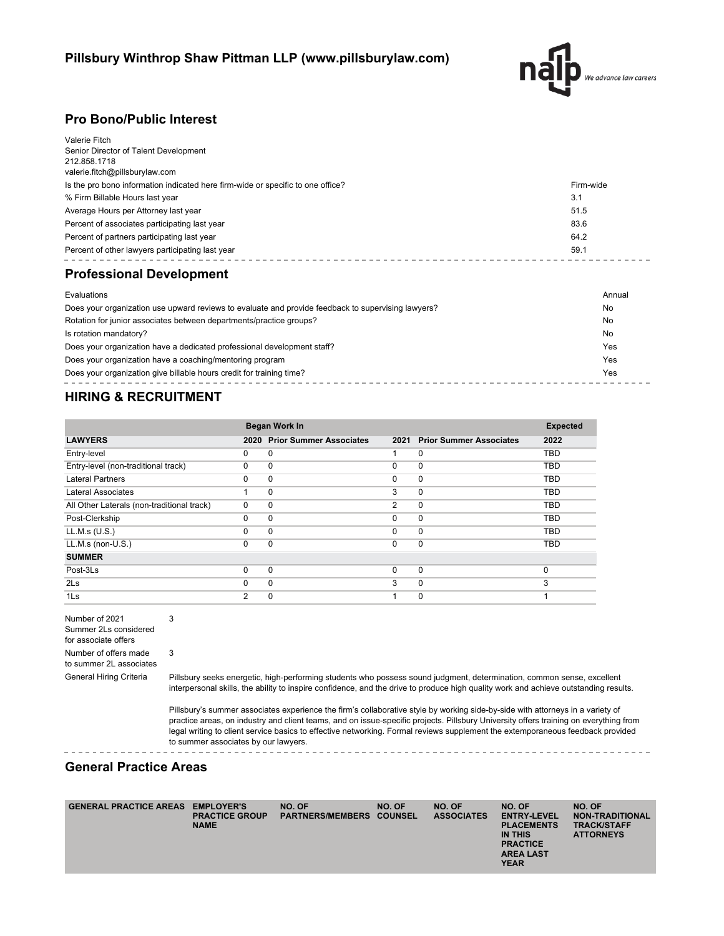

## **Pro Bono/Public Interest**

| Evaluations                                                                                              | Annual    |
|----------------------------------------------------------------------------------------------------------|-----------|
| <b>Professional Development</b>                                                                          |           |
| Percent of other lawyers participating last year                                                         | 59.1      |
| Percent of partners participating last year                                                              | 64.2      |
| Percent of associates participating last year                                                            | 83.6      |
| Average Hours per Attorney last year                                                                     | 51.5      |
| % Firm Billable Hours last year                                                                          | 3.1       |
| Is the pro bono information indicated here firm-wide or specific to one office?                          | Firm-wide |
| Valerie Fitch<br>Senior Director of Talent Development<br>212.858.1718<br>valerie.fitch@pillsburylaw.com |           |

| Does your organization use upward reviews to evaluate and provide feedback to supervising lawyers? |     |  |  |  |  |
|----------------------------------------------------------------------------------------------------|-----|--|--|--|--|
| Rotation for junior associates between departments/practice groups?                                | No  |  |  |  |  |
| Is rotation mandatory?                                                                             | No  |  |  |  |  |
| Does your organization have a dedicated professional development staff?                            | Yes |  |  |  |  |
| Does your organization have a coaching/mentoring program                                           | Yes |  |  |  |  |
| Does your organization give billable hours credit for training time?                               | Yes |  |  |  |  |
|                                                                                                    |     |  |  |  |  |

## **HIRING & RECRUITMENT**

|                                            | <b>Began Work In</b> | <b>Expected</b>              |          |                              |            |
|--------------------------------------------|----------------------|------------------------------|----------|------------------------------|------------|
| <b>LAWYERS</b>                             |                      | 2020 Prior Summer Associates |          | 2021 Prior Summer Associates | 2022       |
| Entry-level                                | 0                    | 0                            |          | 0                            | <b>TBD</b> |
| Entry-level (non-traditional track)        | $\Omega$             | 0                            | $\Omega$ | $\mathbf 0$                  | <b>TBD</b> |
| <b>Lateral Partners</b>                    | $\Omega$             | $\Omega$                     | $\Omega$ | 0                            | <b>TBD</b> |
| Lateral Associates                         |                      | $\Omega$                     | 3        | $\mathbf 0$                  | <b>TBD</b> |
| All Other Laterals (non-traditional track) | $\Omega$             | 0                            | 2        | $\mathbf 0$                  | <b>TBD</b> |
| Post-Clerkship                             | $\Omega$             | $\Omega$                     | $\Omega$ | $\mathbf 0$                  | <b>TBD</b> |
| LL.M.s (U.S.)                              | $\Omega$             | $\Omega$                     | $\Omega$ | 0                            | <b>TBD</b> |
| LL.M.s (non-U.S.)                          | $\Omega$             | 0                            | $\Omega$ | 0                            | <b>TBD</b> |
| <b>SUMMER</b>                              |                      |                              |          |                              |            |
| Post-3Ls                                   | $\Omega$             | 0                            | $\Omega$ | $\mathbf 0$                  | 0          |
| 2Ls                                        | $\Omega$             | $\Omega$                     | 3        | 0                            | 3          |
| 1Ls                                        | $\overline{2}$       | $\Omega$                     |          | $\Omega$                     |            |

Number of 2021 Summer 2Ls considered for associate offers 3 Number of offers made 3

to summer 2L associates

General Hiring Criteria Pillsbury seeks energetic, high-performing students who possess sound judgment, determination, common sense, excellent interpersonal skills, the ability to inspire confidence, and the drive to produce high quality work and achieve outstanding results.

> Pillsbury's summer associates experience the firm's collaborative style by working side-by-side with attorneys in a variety of practice areas, on industry and client teams, and on issue-specific projects. Pillsbury University offers training on everything from legal writing to client service basics to effective networking. Formal reviews supplement the extemporaneous feedback provided to summer associates by our lawyers.

## **General Practice Areas**

| <b>GENERAL PRACTICE AREAS</b> | <b>EMPLOYER'S</b><br><b>PRACTICE GROUP</b><br><b>NAME</b> | NO. OF<br><b>PARTNERS/MEMBERS</b> | NO. OF<br><b>COUNSEL</b> | NO. OF<br><b>ASSOCIATES</b> | NO. OF<br><b>ENTRY-LEVEL</b><br><b>PLACEMENTS</b><br>IN THIS<br><b>PRACTICE</b><br><b>AREA LAST</b><br><b>YEAR</b> | NO. OF<br><b>NON-TRADITIONAL</b><br><b>TRACK/STAFF</b><br><b>ATTORNEYS</b> |
|-------------------------------|-----------------------------------------------------------|-----------------------------------|--------------------------|-----------------------------|--------------------------------------------------------------------------------------------------------------------|----------------------------------------------------------------------------|